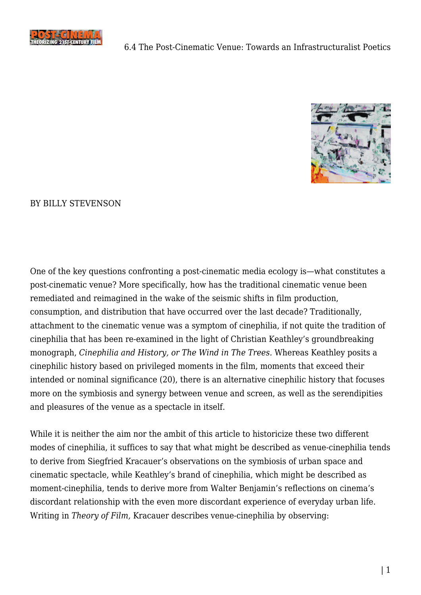



## BY BILLY STEVENSON

One of the key questions confronting a post-cinematic media ecology is—what constitutes a post-cinematic venue? More specifically, how has the traditional cinematic venue been remediated and reimagined in the wake of the seismic shifts in film production, consumption, and distribution that have occurred over the last decade? Traditionally, attachment to the cinematic venue was a symptom of cinephilia, if not quite the tradition of cinephilia that has been re-examined in the light of Christian Keathley's groundbreaking monograph, *Cinephilia and History, or The Wind in The Trees.* Whereas Keathley posits a cinephilic history based on privileged moments in the film, moments that exceed their intended or nominal significance (20), there is an alternative cinephilic history that focuses more on the symbiosis and synergy between venue and screen, as well as the serendipities and pleasures of the venue as a spectacle in itself.

While it is neither the aim nor the ambit of this article to historicize these two different modes of cinephilia, it suffices to say that what might be described as venue-cinephilia tends to derive from Siegfried Kracauer's observations on the symbiosis of urban space and cinematic spectacle, while Keathley's brand of cinephilia, which might be described as moment-cinephilia, tends to derive more from Walter Benjamin's reflections on cinema's discordant relationship with the even more discordant experience of everyday urban life. Writing in *Theory of Film,* Kracauer describes venue-cinephilia by observing: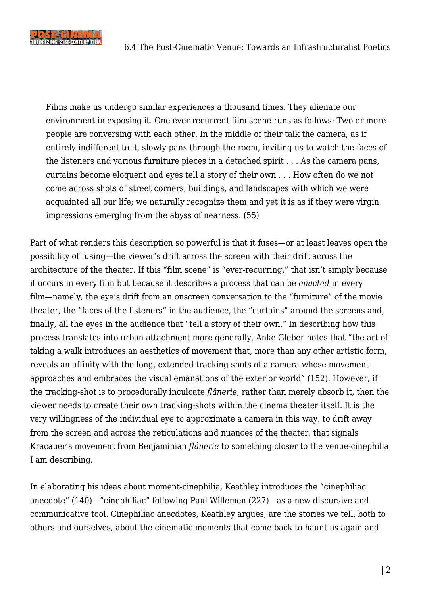

Films make us undergo similar experiences a thousand times. They alienate our environment in exposing it. One ever-recurrent film scene runs as follows: Two or more people are conversing with each other. In the middle of their talk the camera, as if entirely indifferent to it, slowly pans through the room, inviting us to watch the faces of the listeners and various furniture pieces in a detached spirit . . . As the camera pans, curtains become eloquent and eyes tell a story of their own . . . How often do we not come across shots of street corners, buildings, and landscapes with which we were acquainted all our life; we naturally recognize them and yet it is as if they were virgin impressions emerging from the abyss of nearness. (55)

Part of what renders this description so powerful is that it fuses—or at least leaves open the possibility of fusing—the viewer's drift across the screen with their drift across the architecture of the theater. If this "film scene" is "ever-recurring," that isn't simply because it occurs in every film but because it describes a process that can be *enacted* in every film—namely, the eye's drift from an onscreen conversation to the "furniture" of the movie theater, the "faces of the listeners" in the audience, the "curtains" around the screens and, finally, all the eyes in the audience that "tell a story of their own." In describing how this process translates into urban attachment more generally, Anke Gleber notes that "the art of taking a walk introduces an aesthetics of movement that, more than any other artistic form, reveals an affinity with the long, extended tracking shots of a camera whose movement approaches and embraces the visual emanations of the exterior world" (152). However, if the tracking-shot is to procedurally inculcate *flânerie*, rather than merely absorb it, then the viewer needs to create their own tracking-shots within the cinema theater itself. It is the very willingness of the individual eye to approximate a camera in this way, to drift away from the screen and across the reticulations and nuances of the theater, that signals Kracauer's movement from Benjaminian *flânerie* to something closer to the venue-cinephilia I am describing.

In elaborating his ideas about moment-cinephilia, Keathley introduces the "cinephiliac anecdote" (140)—"cinephiliac" following Paul Willemen (227)—as a new discursive and communicative tool. Cinephiliac anecdotes, Keathley argues, are the stories we tell, both to others and ourselves, about the cinematic moments that come back to haunt us again and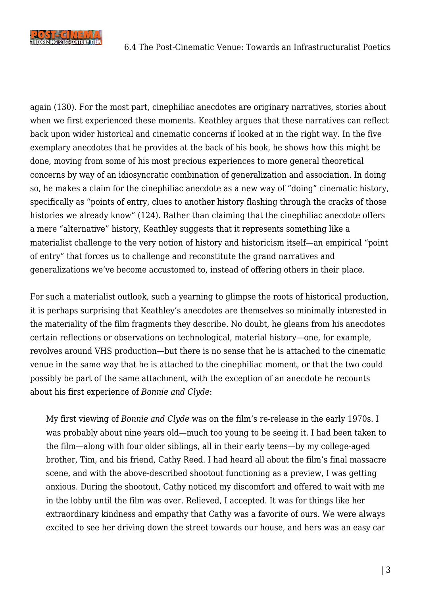

6.4 The Post-Cinematic Venue: Towards an Infrastructuralist Poetics

again (130). For the most part, cinephiliac anecdotes are originary narratives, stories about when we first experienced these moments. Keathley argues that these narratives can reflect back upon wider historical and cinematic concerns if looked at in the right way. In the five exemplary anecdotes that he provides at the back of his book, he shows how this might be done, moving from some of his most precious experiences to more general theoretical concerns by way of an idiosyncratic combination of generalization and association. In doing so, he makes a claim for the cinephiliac anecdote as a new way of "doing" cinematic history, specifically as "points of entry, clues to another history flashing through the cracks of those histories we already know" (124). Rather than claiming that the cinephiliac anecdote offers a mere "alternative" history, Keathley suggests that it represents something like a materialist challenge to the very notion of history and historicism itself—an empirical "point of entry" that forces us to challenge and reconstitute the grand narratives and generalizations we've become accustomed to, instead of offering others in their place.

For such a materialist outlook, such a yearning to glimpse the roots of historical production, it is perhaps surprising that Keathley's anecdotes are themselves so minimally interested in the materiality of the film fragments they describe. No doubt, he gleans from his anecdotes certain reflections or observations on technological, material history—one, for example, revolves around VHS production—but there is no sense that he is attached to the cinematic venue in the same way that he is attached to the cinephiliac moment, or that the two could possibly be part of the same attachment, with the exception of an anecdote he recounts about his first experience of *Bonnie and Clyde*:

My first viewing of *Bonnie and Clyde* was on the film's re-release in the early 1970s. I was probably about nine years old—much too young to be seeing it. I had been taken to the film—along with four older siblings, all in their early teens—by my college-aged brother, Tim, and his friend, Cathy Reed. I had heard all about the film's final massacre scene, and with the above-described shootout functioning as a preview, I was getting anxious. During the shootout, Cathy noticed my discomfort and offered to wait with me in the lobby until the film was over. Relieved, I accepted. It was for things like her extraordinary kindness and empathy that Cathy was a favorite of ours. We were always excited to see her driving down the street towards our house, and hers was an easy car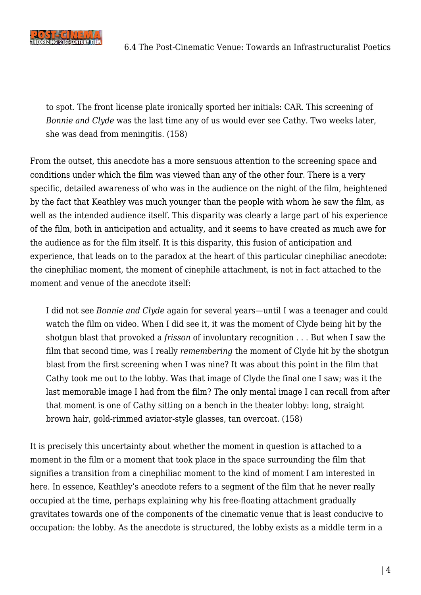

to spot. The front license plate ironically sported her initials: CAR. This screening of *Bonnie and Clyde* was the last time any of us would ever see Cathy. Two weeks later, she was dead from meningitis. (158)

From the outset, this anecdote has a more sensuous attention to the screening space and conditions under which the film was viewed than any of the other four. There is a very specific, detailed awareness of who was in the audience on the night of the film, heightened by the fact that Keathley was much younger than the people with whom he saw the film, as well as the intended audience itself. This disparity was clearly a large part of his experience of the film, both in anticipation and actuality, and it seems to have created as much awe for the audience as for the film itself. It is this disparity, this fusion of anticipation and experience, that leads on to the paradox at the heart of this particular cinephiliac anecdote: the cinephiliac moment, the moment of cinephile attachment, is not in fact attached to the moment and venue of the anecdote itself:

I did not see *Bonnie and Clyde* again for several years—until I was a teenager and could watch the film on video. When I did see it, it was the moment of Clyde being hit by the shotgun blast that provoked a *frisson* of involuntary recognition . . . But when I saw the film that second time, was I really *remembering* the moment of Clyde hit by the shotgun blast from the first screening when I was nine? It was about this point in the film that Cathy took me out to the lobby. Was that image of Clyde the final one I saw; was it the last memorable image I had from the film? The only mental image I can recall from after that moment is one of Cathy sitting on a bench in the theater lobby: long, straight brown hair, gold-rimmed aviator-style glasses, tan overcoat. (158)

It is precisely this uncertainty about whether the moment in question is attached to a moment in the film or a moment that took place in the space surrounding the film that signifies a transition from a cinephiliac moment to the kind of moment I am interested in here. In essence, Keathley's anecdote refers to a segment of the film that he never really occupied at the time, perhaps explaining why his free-floating attachment gradually gravitates towards one of the components of the cinematic venue that is least conducive to occupation: the lobby. As the anecdote is structured, the lobby exists as a middle term in a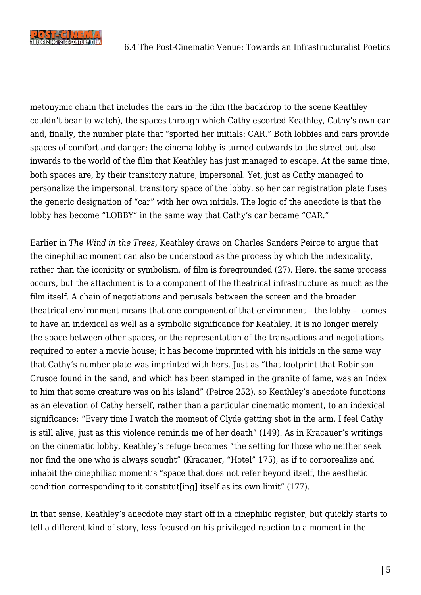

metonymic chain that includes the cars in the film (the backdrop to the scene Keathley couldn't bear to watch), the spaces through which Cathy escorted Keathley, Cathy's own car and, finally, the number plate that "sported her initials: CAR." Both lobbies and cars provide spaces of comfort and danger: the cinema lobby is turned outwards to the street but also inwards to the world of the film that Keathley has just managed to escape. At the same time, both spaces are, by their transitory nature, impersonal. Yet, just as Cathy managed to personalize the impersonal, transitory space of the lobby, so her car registration plate fuses the generic designation of "car" with her own initials. The logic of the anecdote is that the lobby has become "LOBBY" in the same way that Cathy's car became "CAR."

Earlier in *The Wind in the Trees,* Keathley draws on Charles Sanders Peirce to argue that the cinephiliac moment can also be understood as the process by which the indexicality, rather than the iconicity or symbolism, of film is foregrounded (27). Here, the same process occurs, but the attachment is to a component of the theatrical infrastructure as much as the film itself. A chain of negotiations and perusals between the screen and the broader theatrical environment means that one component of that environment – the lobby – comes to have an indexical as well as a symbolic significance for Keathley. It is no longer merely the space between other spaces, or the representation of the transactions and negotiations required to enter a movie house; it has become imprinted with his initials in the same way that Cathy's number plate was imprinted with hers. Just as "that footprint that Robinson Crusoe found in the sand, and which has been stamped in the granite of fame, was an Index to him that some creature was on his island" (Peirce 252), so Keathley's anecdote functions as an elevation of Cathy herself, rather than a particular cinematic moment, to an indexical significance: "Every time I watch the moment of Clyde getting shot in the arm, I feel Cathy is still alive, just as this violence reminds me of her death" (149). As in Kracauer's writings on the cinematic lobby, Keathley's refuge becomes "the setting for those who neither seek nor find the one who is always sought" (Kracauer, "Hotel" 175), as if to corporealize and inhabit the cinephiliac moment's "space that does not refer beyond itself, the aesthetic condition corresponding to it constitut[ing] itself as its own limit" (177).

In that sense, Keathley's anecdote may start off in a cinephilic register, but quickly starts to tell a different kind of story, less focused on his privileged reaction to a moment in the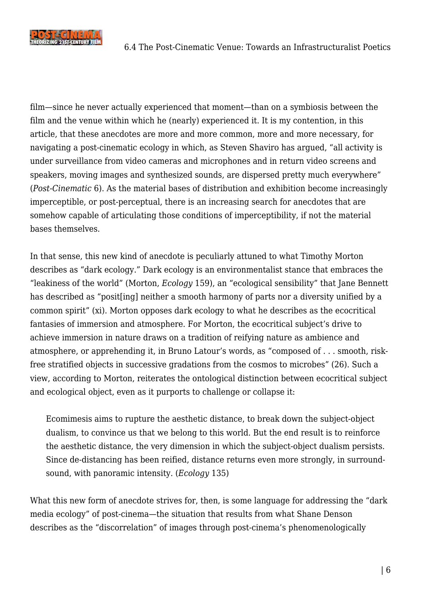

film—since he never actually experienced that moment—than on a symbiosis between the film and the venue within which he (nearly) experienced it. It is my contention, in this article, that these anecdotes are more and more common, more and more necessary, for navigating a post-cinematic ecology in which, as Steven Shaviro has argued, "all activity is under surveillance from video cameras and microphones and in return video screens and speakers, moving images and synthesized sounds, are dispersed pretty much everywhere" (*Post-Cinematic* 6). As the material bases of distribution and exhibition become increasingly imperceptible, or post-perceptual, there is an increasing search for anecdotes that are somehow capable of articulating those conditions of imperceptibility, if not the material bases themselves.

In that sense, this new kind of anecdote is peculiarly attuned to what Timothy Morton describes as "dark ecology." Dark ecology is an environmentalist stance that embraces the "leakiness of the world" (Morton, *Ecology* 159), an "ecological sensibility" that Jane Bennett has described as "posit[ing] neither a smooth harmony of parts nor a diversity unified by a common spirit" (xi). Morton opposes dark ecology to what he describes as the ecocritical fantasies of immersion and atmosphere. For Morton, the ecocritical subject's drive to achieve immersion in nature draws on a tradition of reifying nature as ambience and atmosphere, or apprehending it, in Bruno Latour's words, as "composed of . . . smooth, riskfree stratified objects in successive gradations from the cosmos to microbes" (26). Such a view, according to Morton, reiterates the ontological distinction between ecocritical subject and ecological object, even as it purports to challenge or collapse it:

Ecomimesis aims to rupture the aesthetic distance, to break down the subject-object dualism, to convince us that we belong to this world. But the end result is to reinforce the aesthetic distance, the very dimension in which the subject-object dualism persists. Since de-distancing has been reified, distance returns even more strongly, in surroundsound, with panoramic intensity. (*Ecology* 135)

What this new form of anecdote strives for, then, is some language for addressing the "dark media ecology" of post-cinema—the situation that results from what Shane Denson describes as the "discorrelation" of images through post-cinema's phenomenologically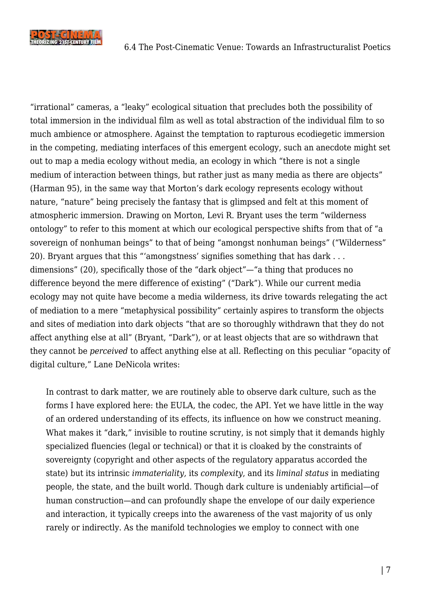

6.4 The Post-Cinematic Venue: Towards an Infrastructuralist Poetics

"irrational" cameras, a "leaky" ecological situation that precludes both the possibility of total immersion in the individual film as well as total abstraction of the individual film to so much ambience or atmosphere. Against the temptation to rapturous ecodiegetic immersion in the competing, mediating interfaces of this emergent ecology, such an anecdote might set out to map a media ecology without media, an ecology in which "there is not a single medium of interaction between things, but rather just as many media as there are objects" (Harman 95), in the same way that Morton's dark ecology represents ecology without nature, "nature" being precisely the fantasy that is glimpsed and felt at this moment of atmospheric immersion. Drawing on Morton, Levi R. Bryant uses the term "wilderness ontology" to refer to this moment at which our ecological perspective shifts from that of "a sovereign of nonhuman beings" to that of being "amongst nonhuman beings" ("Wilderness" 20). Bryant argues that this "'amongstness' signifies something that has dark . . . dimensions" (20), specifically those of the "dark object"—"a thing that produces no difference beyond the mere difference of existing" ("Dark"). While our current media ecology may not quite have become a media wilderness, its drive towards relegating the act of mediation to a mere "metaphysical possibility" certainly aspires to transform the objects and sites of mediation into dark objects "that are so thoroughly withdrawn that they do not affect anything else at all" (Bryant, "Dark"), or at least objects that are so withdrawn that they cannot be *perceived* to affect anything else at all. Reflecting on this peculiar "opacity of digital culture," Lane DeNicola writes:

In contrast to dark matter, we are routinely able to observe dark culture, such as the forms I have explored here: the EULA, the codec, the API. Yet we have little in the way of an ordered understanding of its effects, its influence on how we construct meaning. What makes it "dark," invisible to routine scrutiny, is not simply that it demands highly specialized fluencies (legal or technical) or that it is cloaked by the constraints of sovereignty (copyright and other aspects of the regulatory apparatus accorded the state) but its intrinsic *immateriality,* its *complexity*, and its *liminal status* in mediating people, the state, and the built world. Though dark culture is undeniably artificial—of human construction—and can profoundly shape the envelope of our daily experience and interaction, it typically creeps into the awareness of the vast majority of us only rarely or indirectly. As the manifold technologies we employ to connect with one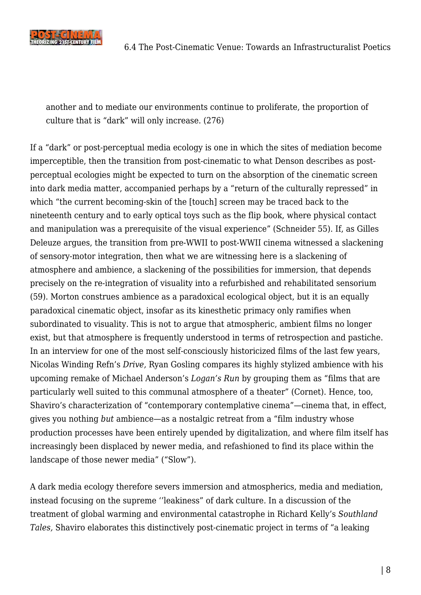

another and to mediate our environments continue to proliferate, the proportion of culture that is "dark" will only increase. (276)

If a "dark" or post-perceptual media ecology is one in which the sites of mediation become imperceptible, then the transition from post-cinematic to what Denson describes as postperceptual ecologies might be expected to turn on the absorption of the cinematic screen into dark media matter, accompanied perhaps by a "return of the culturally repressed" in which "the current becoming-skin of the [touch] screen may be traced back to the nineteenth century and to early optical toys such as the flip book, where physical contact and manipulation was a prerequisite of the visual experience" (Schneider 55). If, as Gilles Deleuze argues, the transition from pre-WWII to post-WWII cinema witnessed a slackening of sensory-motor integration, then what we are witnessing here is a slackening of atmosphere and ambience, a slackening of the possibilities for immersion, that depends precisely on the re-integration of visuality into a refurbished and rehabilitated sensorium (59). Morton construes ambience as a paradoxical ecological object, but it is an equally paradoxical cinematic object, insofar as its kinesthetic primacy only ramifies when subordinated to visuality. This is not to argue that atmospheric, ambient films no longer exist, but that atmosphere is frequently understood in terms of retrospection and pastiche. In an interview for one of the most self-consciously historicized films of the last few years, Nicolas Winding Refn's *Drive,* Ryan Gosling compares its highly stylized ambience with his upcoming remake of Michael Anderson's *Logan's Run* by grouping them as "films that are particularly well suited to this communal atmosphere of a theater" (Cornet). Hence, too, Shaviro's characterization of "contemporary contemplative cinema"—cinema that, in effect, gives you nothing *but* ambience—as a nostalgic retreat from a "film industry whose production processes have been entirely upended by digitalization, and where film itself has increasingly been displaced by newer media, and refashioned to find its place within the landscape of those newer media" ("Slow").

A dark media ecology therefore severs immersion and atmospherics, media and mediation, instead focusing on the supreme ''leakiness" of dark culture. In a discussion of the treatment of global warming and environmental catastrophe in Richard Kelly's *Southland Tales,* Shaviro elaborates this distinctively post-cinematic project in terms of "a leaking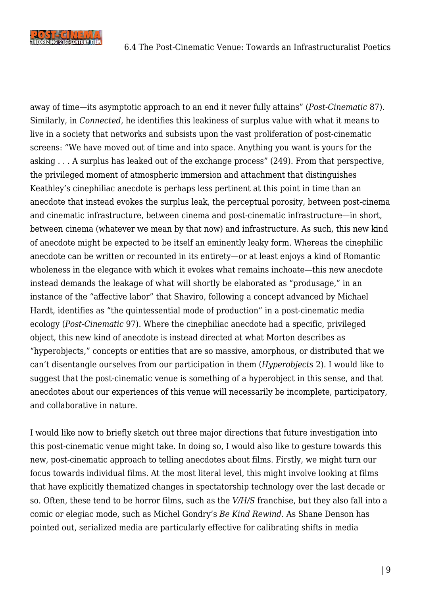

away of time—its asymptotic approach to an end it never fully attains" (*Post-Cinematic* 87). Similarly, in *Connected,* he identifies this leakiness of surplus value with what it means to live in a society that networks and subsists upon the vast proliferation of post-cinematic screens: "We have moved out of time and into space. Anything you want is yours for the asking . . . A surplus has leaked out of the exchange process" (249). From that perspective, the privileged moment of atmospheric immersion and attachment that distinguishes Keathley's cinephiliac anecdote is perhaps less pertinent at this point in time than an anecdote that instead evokes the surplus leak, the perceptual porosity, between post-cinema and cinematic infrastructure, between cinema and post-cinematic infrastructure—in short, between cinema (whatever we mean by that now) and infrastructure. As such, this new kind of anecdote might be expected to be itself an eminently leaky form. Whereas the cinephilic anecdote can be written or recounted in its entirety—or at least enjoys a kind of Romantic wholeness in the elegance with which it evokes what remains inchoate—this new anecdote instead demands the leakage of what will shortly be elaborated as "produsage," in an instance of the "affective labor" that Shaviro, following a concept advanced by Michael Hardt, identifies as "the quintessential mode of production" in a post-cinematic media ecology (*Post-Cinematic* 97). Where the cinephiliac anecdote had a specific, privileged object, this new kind of anecdote is instead directed at what Morton describes as "hyperobjects," concepts or entities that are so massive, amorphous, or distributed that we can't disentangle ourselves from our participation in them (*Hyperobjects* 2). I would like to suggest that the post-cinematic venue is something of a hyperobject in this sense, and that anecdotes about our experiences of this venue will necessarily be incomplete, participatory, and collaborative in nature.

I would like now to briefly sketch out three major directions that future investigation into this post-cinematic venue might take. In doing so, I would also like to gesture towards this new, post-cinematic approach to telling anecdotes about films. Firstly, we might turn our focus towards individual films. At the most literal level, this might involve looking at films that have explicitly thematized changes in spectatorship technology over the last decade or so. Often, these tend to be horror films, such as the *V/H/S* franchise, but they also fall into a comic or elegiac mode, such as Michel Gondry's *Be Kind Rewind.* As Shane Denson has pointed out, serialized media are particularly effective for calibrating shifts in media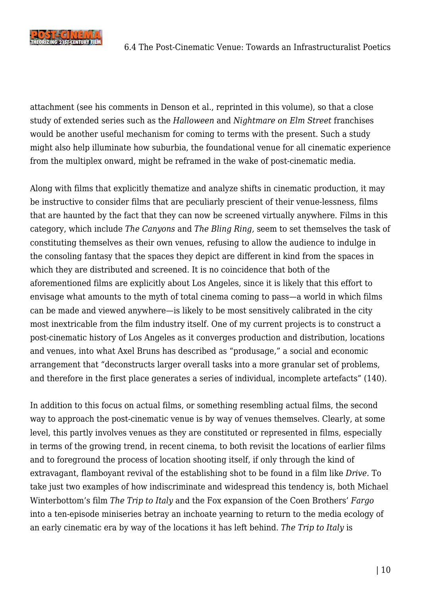

attachment (see his comments in Denson et al., [reprinted in this volume](http://reframe.sussex.ac.uk/post-cinema/7-3-denson-grisham-leyda/)), so that a close study of extended series such as the *Halloween* and *Nightmare on Elm Street* franchises would be another useful mechanism for coming to terms with the present. Such a study might also help illuminate how suburbia, the foundational venue for all cinematic experience from the multiplex onward, might be reframed in the wake of post-cinematic media.

Along with films that explicitly thematize and analyze shifts in cinematic production, it may be instructive to consider films that are peculiarly prescient of their venue-lessness, films that are haunted by the fact that they can now be screened virtually anywhere. Films in this category, which include *The Canyons* and *The Bling Ring,* seem to set themselves the task of constituting themselves as their own venues, refusing to allow the audience to indulge in the consoling fantasy that the spaces they depict are different in kind from the spaces in which they are distributed and screened. It is no coincidence that both of the aforementioned films are explicitly about Los Angeles, since it is likely that this effort to envisage what amounts to the myth of total cinema coming to pass—a world in which films can be made and viewed anywhere—is likely to be most sensitively calibrated in the city most inextricable from the film industry itself. One of my current projects is to construct a post-cinematic history of Los Angeles as it converges production and distribution, locations and venues, into what Axel Bruns has described as "produsage," a social and economic arrangement that "deconstructs larger overall tasks into a more granular set of problems, and therefore in the first place generates a series of individual, incomplete artefacts" (140).

In addition to this focus on actual films, or something resembling actual films, the second way to approach the post-cinematic venue is by way of venues themselves. Clearly, at some level, this partly involves venues as they are constituted or represented in films, especially in terms of the growing trend, in recent cinema, to both revisit the locations of earlier films and to foreground the process of location shooting itself, if only through the kind of extravagant, flamboyant revival of the establishing shot to be found in a film like *Drive.* To take just two examples of how indiscriminate and widespread this tendency is, both Michael Winterbottom's film *The Trip to Italy* and the Fox expansion of the Coen Brothers' *Fargo* into a ten-episode miniseries betray an inchoate yearning to return to the media ecology of an early cinematic era by way of the locations it has left behind. *The Trip to Italy* is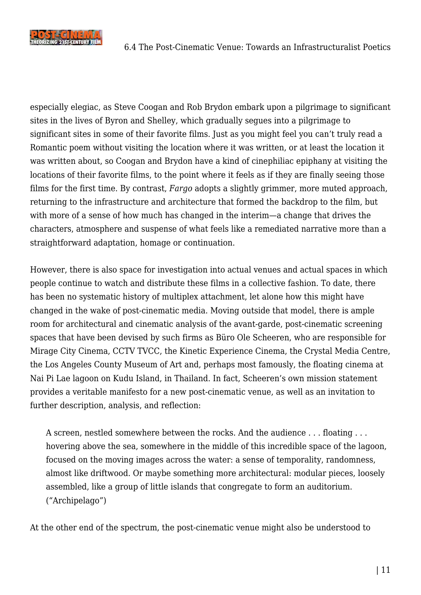

especially elegiac, as Steve Coogan and Rob Brydon embark upon a pilgrimage to significant sites in the lives of Byron and Shelley, which gradually segues into a pilgrimage to significant sites in some of their favorite films. Just as you might feel you can't truly read a Romantic poem without visiting the location where it was written, or at least the location it was written about, so Coogan and Brydon have a kind of cinephiliac epiphany at visiting the locations of their favorite films, to the point where it feels as if they are finally seeing those films for the first time. By contrast, *Fargo* adopts a slightly grimmer, more muted approach, returning to the infrastructure and architecture that formed the backdrop to the film, but with more of a sense of how much has changed in the interim—a change that drives the characters, atmosphere and suspense of what feels like a remediated narrative more than a straightforward adaptation, homage or continuation.

However, there is also space for investigation into actual venues and actual spaces in which people continue to watch and distribute these films in a collective fashion. To date, there has been no systematic history of multiplex attachment, let alone how this might have changed in the wake of post-cinematic media. Moving outside that model, there is ample room for architectural and cinematic analysis of the avant-garde, post-cinematic screening spaces that have been devised by such firms as Büro Ole Scheeren, who are responsible for Mirage City Cinema, CCTV TVCC, the Kinetic Experience Cinema, the Crystal Media Centre, the Los Angeles County Museum of Art and, perhaps most famously, the floating cinema at Nai Pi Lae lagoon on Kudu Island, in Thailand. In fact, Scheeren's own mission statement provides a veritable manifesto for a new post-cinematic venue, as well as an invitation to further description, analysis, and reflection:

A screen, nestled somewhere between the rocks. And the audience . . . floating . . . hovering above the sea, somewhere in the middle of this incredible space of the lagoon, focused on the moving images across the water: a sense of temporality, randomness, almost like driftwood. Or maybe something more architectural: modular pieces, loosely assembled, like a group of little islands that congregate to form an auditorium. ("Archipelago")

At the other end of the spectrum, the post-cinematic venue might also be understood to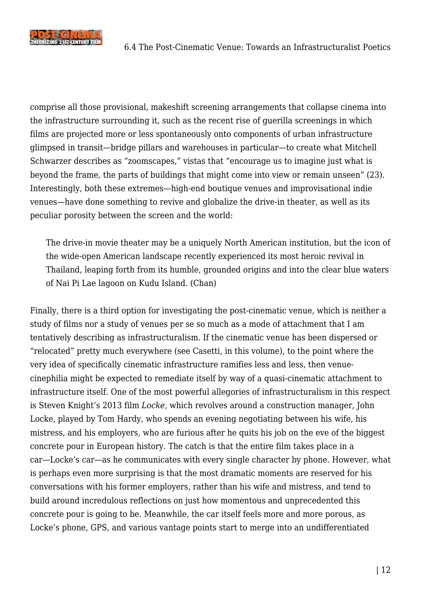

comprise all those provisional, makeshift screening arrangements that collapse cinema into the infrastructure surrounding it, such as the recent rise of guerilla screenings in which films are projected more or less spontaneously onto components of urban infrastructure glimpsed in transit—bridge pillars and warehouses in particular—to create what Mitchell Schwarzer describes as "zoomscapes," vistas that "encourage us to imagine just what is beyond the frame, the parts of buildings that might come into view or remain unseen" (23). Interestingly, both these extremes—high-end boutique venues and improvisational indie venues—have done something to revive and globalize the drive-in theater, as well as its peculiar porosity between the screen and the world:

The drive-in movie theater may be a uniquely North American institution, but the icon of the wide-open American landscape recently experienced its most heroic revival in Thailand, leaping forth from its humble, grounded origins and into the clear blue waters of Nai Pi Lae lagoon on Kudu Island. (Chan)

Finally, there is a third option for investigating the post-cinematic venue, which is neither a study of films nor a study of venues per se so much as a mode of attachment that I am tentatively describing as infrastructuralism. If the cinematic venue has been dispersed or "relocated" pretty much everywhere (see Casetti, in this volume), to the point where the very idea of specifically cinematic infrastructure ramifies less and less, then venuecinephilia might be expected to remediate itself by way of a quasi-cinematic attachment to infrastructure itself. One of the most powerful allegories of infrastructuralism in this respect is Steven Knight's 2013 film *Locke,* which revolves around a construction manager, John Locke, played by Tom Hardy, who spends an evening negotiating between his wife, his mistress, and his employers, who are furious after he quits his job on the eve of the biggest concrete pour in European history. The catch is that the entire film takes place in a car—Locke's car—as he communicates with every single character by phone. However, what is perhaps even more surprising is that the most dramatic moments are reserved for his conversations with his former employers, rather than his wife and mistress, and tend to build around incredulous reflections on just how momentous and unprecedented this concrete pour is going to be. Meanwhile, the car itself feels more and more porous, as Locke's phone, GPS, and various vantage points start to merge into an undifferentiated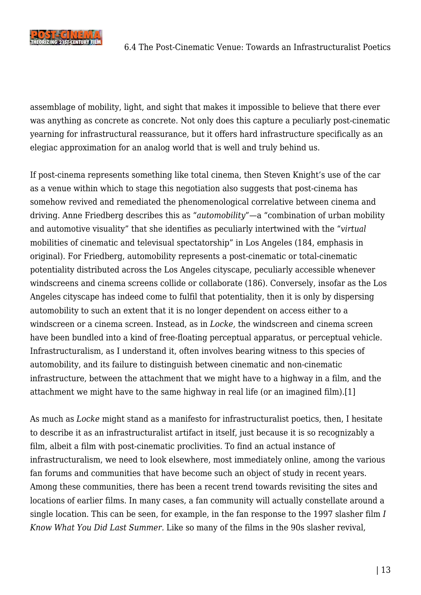

assemblage of mobility, light, and sight that makes it impossible to believe that there ever was anything as concrete as concrete. Not only does this capture a peculiarly post-cinematic yearning for infrastructural reassurance, but it offers hard infrastructure specifically as an elegiac approximation for an analog world that is well and truly behind us.

If post-cinema represents something like total cinema, then Steven Knight's use of the car as a venue within which to stage this negotiation also suggests that post-cinema has somehow revived and remediated the phenomenological correlative between cinema and driving. Anne Friedberg describes this as "*automobility*"—a "combination of urban mobility and automotive visuality" that she identifies as peculiarly intertwined with the "*virtual* mobilities of cinematic and televisual spectatorship" in Los Angeles (184, emphasis in original). For Friedberg, automobility represents a post-cinematic or total-cinematic potentiality distributed across the Los Angeles cityscape, peculiarly accessible whenever windscreens and cinema screens collide or collaborate (186). Conversely, insofar as the Los Angeles cityscape has indeed come to fulfil that potentiality, then it is only by dispersing automobility to such an extent that it is no longer dependent on access either to a windscreen or a cinema screen. Instead, as in *Locke,* the windscreen and cinema screen have been bundled into a kind of free-floating perceptual apparatus, or perceptual vehicle. Infrastructuralism, as I understand it, often involves bearing witness to this species of automobility, and its failure to distinguish between cinematic and non-cinematic infrastructure, between the attachment that we might have to a highway in a film, and the attachment we might have to the same highway in real life (or an imagined film).[\[1\]](#page-20-0)

<span id="page-12-0"></span>As much as *Locke* might stand as a manifesto for infrastructuralist poetics, then, I hesitate to describe it as an infrastructuralist artifact in itself, just because it is so recognizably a film, albeit a film with post-cinematic proclivities. To find an actual instance of infrastructuralism, we need to look elsewhere, most immediately online, among the various fan forums and communities that have become such an object of study in recent years. Among these communities, there has been a recent trend towards revisiting the sites and locations of earlier films. In many cases, a fan community will actually constellate around a single location. This can be seen, for example, in the fan response to the 1997 slasher film *I Know What You Did Last Summer.* Like so many of the films in the 90s slasher revival,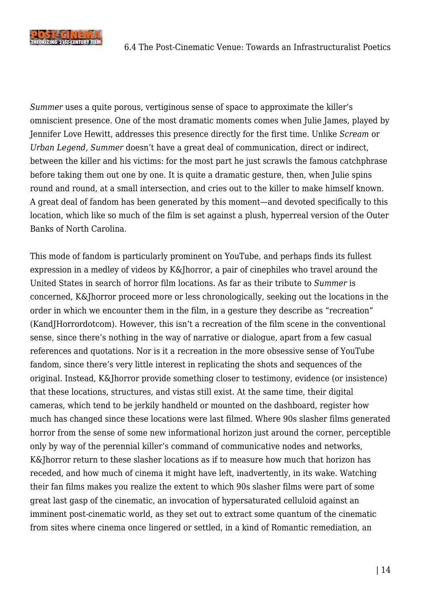

*Summer* uses a quite porous, vertiginous sense of space to approximate the killer's omniscient presence. One of the most dramatic moments comes when Julie James, played by Jennifer Love Hewitt, addresses this presence directly for the first time. Unlike *Scream* or *Urban Legend, Summer* doesn't have a great deal of communication, direct or indirect, between the killer and his victims: for the most part he just scrawls the famous catchphrase before taking them out one by one. It is quite a dramatic gesture, then, when Julie spins round and round, at a small intersection, and cries out to the killer to make himself known. A great deal of fandom has been generated by this moment—and devoted specifically to this location, which like so much of the film is set against a plush, hyperreal version of the Outer Banks of North Carolina.

This mode of fandom is particularly prominent on YouTube, and perhaps finds its fullest expression in a medley of videos by K&Jhorror, a pair of cinephiles who travel around the United States in search of horror film locations. As far as their tribute to *Summer* is concerned, K&Jhorror proceed more or less chronologically, seeking out the locations in the order in which we encounter them in the film, in a gesture they describe as "recreation" ([KandJHorrordotcom\)](https://www.youtube.com/user/KandJHorrordotcom). However, this isn't a recreation of the film scene in the conventional sense, since there's nothing in the way of narrative or dialogue, apart from a few casual references and quotations. Nor is it a recreation in the more obsessive sense of YouTube fandom, since there's very little interest in replicating the shots and sequences of the original. Instead, K&Jhorror provide something closer to testimony, evidence (or insistence) that these locations, structures, and vistas still exist. At the same time, their digital cameras, which tend to be jerkily handheld or mounted on the dashboard, register how much has changed since these locations were last filmed. Where 90s slasher films generated horror from the sense of some new informational horizon just around the corner, perceptible only by way of the perennial killer's command of communicative nodes and networks, K&Jhorror return to these slasher locations as if to measure how much that horizon has receded, and how much of cinema it might have left, inadvertently, in its wake. Watching their fan films makes you realize the extent to which 90s slasher films were part of some great last gasp of the cinematic, an invocation of hypersaturated celluloid against an imminent post-cinematic world, as they set out to extract some quantum of the cinematic from sites where cinema once lingered or settled, in a kind of Romantic remediation, an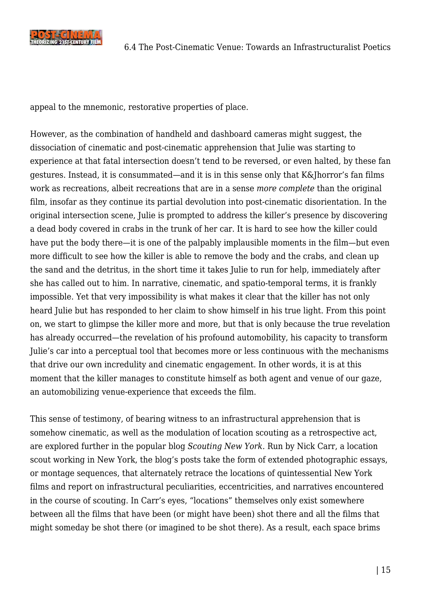

appeal to the mnemonic, restorative properties of place.

However, as the combination of handheld and dashboard cameras might suggest, the dissociation of cinematic and post-cinematic apprehension that Julie was starting to experience at that fatal intersection doesn't tend to be reversed, or even halted, by these fan gestures. Instead, it is consummated—and it is in this sense only that K&Jhorror's fan films work as recreations, albeit recreations that are in a sense *more complete* than the original film, insofar as they continue its partial devolution into post-cinematic disorientation. In the original intersection scene, Julie is prompted to address the killer's presence by discovering a dead body covered in crabs in the trunk of her car. It is hard to see how the killer could have put the body there—it is one of the palpably implausible moments in the film—but even more difficult to see how the killer is able to remove the body and the crabs, and clean up the sand and the detritus, in the short time it takes Julie to run for help, immediately after she has called out to him. In narrative, cinematic, and spatio-temporal terms, it is frankly impossible. Yet that very impossibility is what makes it clear that the killer has not only heard Julie but has responded to her claim to show himself in his true light. From this point on, we start to glimpse the killer more and more, but that is only because the true revelation has already occurred—the revelation of his profound automobility, his capacity to transform Julie's car into a perceptual tool that becomes more or less continuous with the mechanisms that drive our own incredulity and cinematic engagement. In other words, it is at this moment that the killer manages to constitute himself as both agent and venue of our gaze, an automobilizing venue-experience that exceeds the film.

This sense of testimony, of bearing witness to an infrastructural apprehension that is somehow cinematic, as well as the modulation of location scouting as a retrospective act, are explored further in the popular blog *Scouting New York.* Run by Nick Carr, a location scout working in New York, the blog's posts take the form of extended photographic essays, or montage sequences, that alternately retrace the locations of quintessential New York films and report on infrastructural peculiarities, eccentricities, and narratives encountered in the course of scouting. In Carr's eyes, "locations" themselves only exist somewhere between all the films that have been (or might have been) shot there and all the films that might someday be shot there (or imagined to be shot there). As a result, each space brims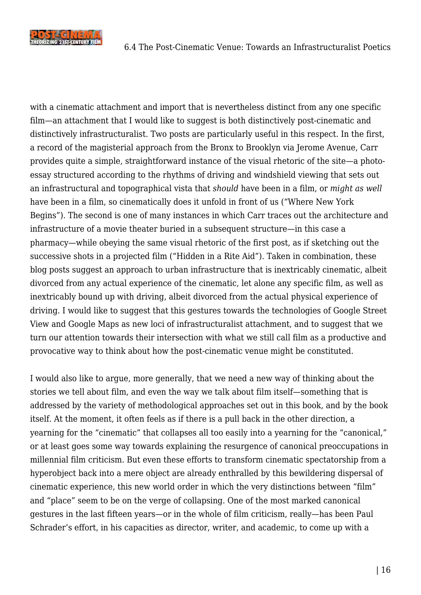

with a cinematic attachment and import that is nevertheless distinct from any one specific film—an attachment that I would like to suggest is both distinctively post-cinematic and distinctively infrastructuralist. Two posts are particularly useful in this respect. In the first, a record of the magisterial approach from the Bronx to Brooklyn via Jerome Avenue, Carr provides quite a simple, straightforward instance of the visual rhetoric of the site—a photoessay structured according to the rhythms of driving and windshield viewing that sets out an infrastructural and topographical vista that *should* have been in a film, or *might as well* have been in a film, so cinematically does it unfold in front of us ("Where New York Begins"). The second is one of many instances in which Carr traces out the architecture and infrastructure of a movie theater buried in a subsequent structure—in this case a pharmacy—while obeying the same visual rhetoric of the first post, as if sketching out the successive shots in a projected film ("Hidden in a Rite Aid"). Taken in combination, these blog posts suggest an approach to urban infrastructure that is inextricably cinematic, albeit divorced from any actual experience of the cinematic, let alone any specific film, as well as inextricably bound up with driving, albeit divorced from the actual physical experience of driving. I would like to suggest that this gestures towards the technologies of Google Street View and Google Maps as new loci of infrastructuralist attachment, and to suggest that we turn our attention towards their intersection with what we still call film as a productive and provocative way to think about how the post-cinematic venue might be constituted.

I would also like to argue, more generally, that we need a new way of thinking about the stories we tell about film, and even the way we talk about film itself—something that is addressed by the variety of methodological approaches set out in this book, and by the book itself. At the moment, it often feels as if there is a pull back in the other direction, a yearning for the "cinematic" that collapses all too easily into a yearning for the "canonical," or at least goes some way towards explaining the resurgence of canonical preoccupations in millennial film criticism. But even these efforts to transform cinematic spectatorship from a hyperobject back into a mere object are already enthralled by this bewildering dispersal of cinematic experience, this new world order in which the very distinctions between "film" and "place" seem to be on the verge of collapsing. One of the most marked canonical gestures in the last fifteen years—or in the whole of film criticism, really—has been Paul Schrader's effort, in his capacities as director, writer, and academic, to come up with a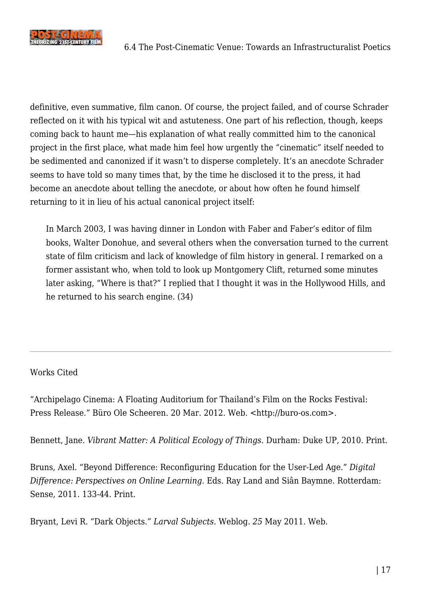

definitive, even summative, film canon. Of course, the project failed, and of course Schrader reflected on it with his typical wit and astuteness. One part of his reflection, though, keeps coming back to haunt me—his explanation of what really committed him to the canonical project in the first place, what made him feel how urgently the "cinematic" itself needed to be sedimented and canonized if it wasn't to disperse completely. It's an anecdote Schrader seems to have told so many times that, by the time he disclosed it to the press, it had become an anecdote about telling the anecdote, or about how often he found himself returning to it in lieu of his actual canonical project itself:

In March 2003, I was having dinner in London with Faber and Faber's editor of film books, Walter Donohue, and several others when the conversation turned to the current state of film criticism and lack of knowledge of film history in general. I remarked on a former assistant who, when told to look up Montgomery Clift, returned some minutes later asking, "Where is that?" I replied that I thought it was in the Hollywood Hills, and he returned to his search engine. (34)

## Works Cited

"Archipelago Cinema: A Floating Auditorium for Thailand's Film on the Rocks Festival: Press Release." Büro Ole Scheeren. 20 Mar. 2012. Web. <[http://buro-os.com>](http://buro-os.com).

Bennett, Jane. *Vibrant Matter: A Political Ecology of Things.* Durham: Duke UP, 2010. Print.

Bruns, Axel. "Beyond Difference: Reconfiguring Education for the User-Led Age." *Digital Difference: Perspectives on Online Learning.* Eds. Ray Land and Siân Baymne. Rotterdam: Sense, 2011. 133-44. Print.

Bryant, Levi R. "Dark Objects." *Larval Subjects*. Weblog. *25* May 2011. Web.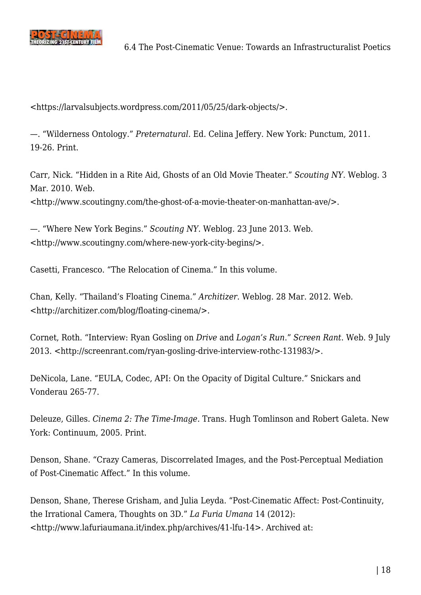

<<https://larvalsubjects.wordpress.com/2011/05/25/dark-objects/>>.

—. "Wilderness Ontology." *Preternatural.* Ed. Celina Jeffery. New York: Punctum, 2011. 19-26. Print.

Carr, Nick. "Hidden in a Rite Aid, Ghosts of an Old Movie Theater." *Scouting NY*. Weblog. 3 Mar. 2010. Web.

<[http://www.scoutingny.com/the-ghost-of-a-movie-theater-on-manhattan-ave/>](http://www.scoutingny.com/the-ghost-of-a-movie-theater-on-manhattan-ave/).

—. "Where New York Begins." *Scouting NY.* Weblog. 23 June 2013. Web. <<http://www.scoutingny.com/where-new-york-city-begins/>>.

Casetti, Francesco. "The Relocation of Cinema." [In this volume.](http://reframe.sussex.ac.uk/post-cinema/5-1-casetti/)

Chan, Kelly. "Thailand's Floating Cinema." *Architizer*. Weblog. 28 Mar. 2012. Web. <<http://architizer.com/blog/floating-cinema/>>.

Cornet, Roth. "Interview: Ryan Gosling on *Drive* and *Logan's Run*." *Screen Rant*. Web. 9 July 2013. <<http://screenrant.com/ryan-gosling-drive-interview-rothc-131983/>>.

DeNicola, Lane. "EULA, Codec, API: On the Opacity of Digital Culture." Snickars and Vonderau 265-77.

Deleuze, Gilles. *Cinema 2: The Time-Image.* Trans. Hugh Tomlinson and Robert Galeta. New York: Continuum, 2005. Print.

Denson, Shane. "Crazy Cameras, Discorrelated Images, and the Post-Perceptual Mediation of Post-Cinematic Affect." [In this volume.](http://reframe.sussex.ac.uk/post-cinema/2-5-denson/)

Denson, Shane, Therese Grisham, and Julia Leyda. "Post-Cinematic Affect: Post-Continuity, the Irrational Camera, Thoughts on 3D." *La Furia Umana* 14 (2012): <[http://www.lafuriaumana.it/index.php/archives/41-lfu-14](http://www.lafuriaumana.it/index.php/archives/41-lfu-1)>. Archived at: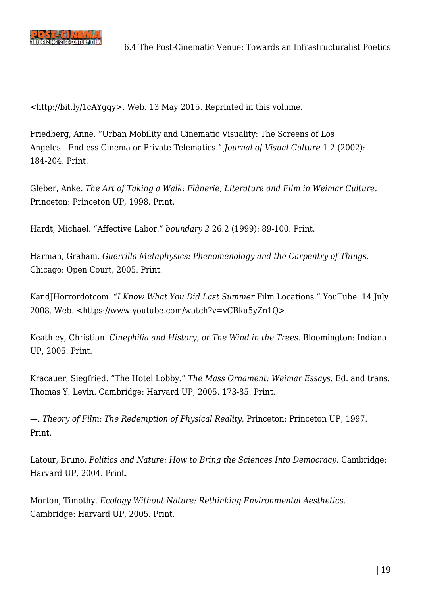

<<http://bit.ly/1cAYgqy>>. Web. 13 May 2015. [Reprinted in this volume](http://reframe.sussex.ac.uk/post-cinema/7-3-denson-grisham-leyda/).

Friedberg, Anne. "Urban Mobility and Cinematic Visuality: The Screens of Los Angeles—Endless Cinema or Private Telematics." *Journal of Visual Culture* 1.2 (2002): 184-204. Print.

Gleber, Anke. *The Art of Taking a Walk: Flânerie, Literature and Film in Weimar Culture.* Princeton: Princeton UP, 1998. Print.

Hardt, Michael. "Affective Labor." *boundary 2* 26.2 (1999): 89-100. Print.

Harman, Graham. *Guerrilla Metaphysics: Phenomenology and the Carpentry of Things.* Chicago: Open Court, 2005. Print.

KandJHorrordotcom. "*I Know What You Did Last Summer* Film Locations." YouTube. 14 July 2008. Web. [<https://www.youtube.com/watch?v=vCBku5yZn1Q](https://www.youtube.com/watch?v=vCBku5yZn1Q)>.

Keathley, Christian. *Cinephilia and History, or The Wind in the Trees.* Bloomington: Indiana UP, 2005. Print.

Kracauer, Siegfried. "The Hotel Lobby." *The Mass Ornament: Weimar Essays.* Ed. and trans. Thomas Y. Levin. Cambridge: Harvard UP, 2005. 173-85. Print.

—. *Theory of Film: The Redemption of Physical Reality.* Princeton: Princeton UP, 1997. Print.

Latour, Bruno. *Politics and Nature: How to Bring the Sciences Into Democracy.* Cambridge: Harvard UP, 2004. Print.

Morton, Timothy. *Ecology Without Nature: Rethinking Environmental Aesthetics.* Cambridge: Harvard UP, 2005. Print.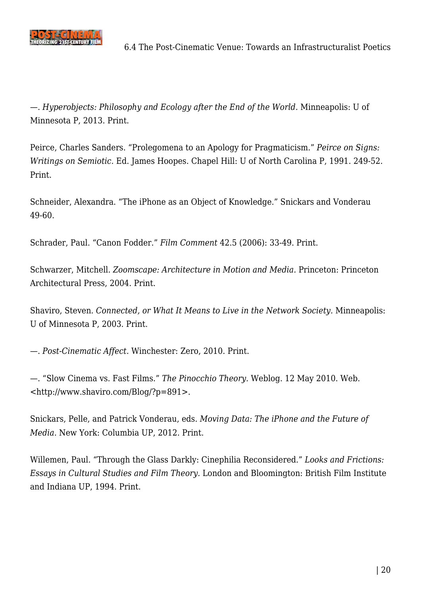

—. *Hyperobjects: Philosophy and Ecology after the End of the World.* Minneapolis: U of Minnesota P, 2013. Print.

Peirce, Charles Sanders. "Prolegomena to an Apology for Pragmaticism." *Peirce on Signs: Writings on Semiotic.* Ed. James Hoopes. Chapel Hill: U of North Carolina P, 1991. 249-52. Print.

Schneider, Alexandra. "The iPhone as an Object of Knowledge." Snickars and Vonderau 49-60.

Schrader, Paul. "Canon Fodder." *Film Comment* 42.5 (2006): 33-49. Print.

Schwarzer, Mitchell. *Zoomscape: Architecture in Motion and Media.* Princeton: Princeton Architectural Press, 2004. Print.

Shaviro, Steven. *Connected, or What It Means to Live in the Network Society.* Minneapolis: U of Minnesota P, 2003. Print.

—. *Post-Cinematic Affect.* Winchester: Zero, 2010. Print.

—. "Slow Cinema vs. Fast Films." *The Pinocchio Theory*. Weblog. 12 May 2010. Web. <[http://www.shaviro.com/Blog/?p=891>](http://www.shaviro.com/Blog/?p=891).

Snickars, Pelle, and Patrick Vonderau, eds. *Moving Data: The iPhone and the Future of Media.* New York: Columbia UP, 2012. Print.

Willemen, Paul. "Through the Glass Darkly: Cinephilia Reconsidered." *Looks and Frictions: Essays in Cultural Studies and Film Theory.* London and Bloomington: British Film Institute and Indiana UP, 1994. Print.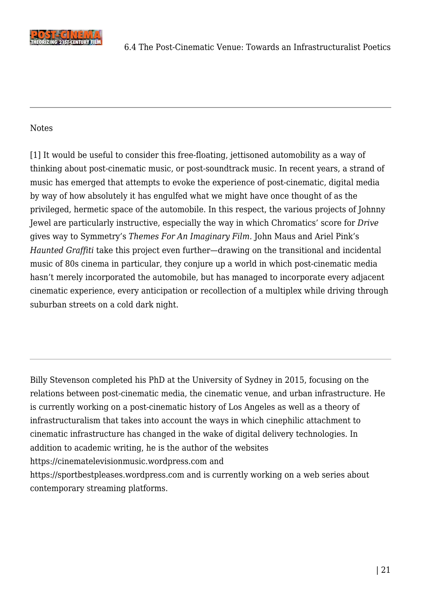

## Notes

<span id="page-20-0"></span>[\[1\]](#page-12-0) It would be useful to consider this free-floating, jettisoned automobility as a way of thinking about post-cinematic music, or post-soundtrack music. In recent years, a strand of music has emerged that attempts to evoke the experience of post-cinematic, digital media by way of how absolutely it has engulfed what we might have once thought of as the privileged, hermetic space of the automobile. In this respect, the various projects of Johnny Jewel are particularly instructive, especially the way in which Chromatics' score for *Drive* gives way to Symmetry's *Themes For An Imaginary Film.* John Maus and Ariel Pink's *Haunted Graffiti* take this project even further—drawing on the transitional and incidental music of 80s cinema in particular, they conjure up a world in which post-cinematic media hasn't merely incorporated the automobile, but has managed to incorporate every adjacent cinematic experience, every anticipation or recollection of a multiplex while driving through suburban streets on a cold dark night.

Billy Stevenson completed his PhD at the University of Sydney in 2015, focusing on the relations between post-cinematic media, the cinematic venue, and urban infrastructure. He is currently working on a post-cinematic history of Los Angeles as well as a theory of infrastructuralism that takes into account the ways in which cinephilic attachment to cinematic infrastructure has changed in the wake of digital delivery technologies. In addition to academic writing, he is the author of the websites <https://cinematelevisionmusic.wordpress.com>and <https://sportbestpleases.wordpress.com>and is currently working on a web series about contemporary streaming platforms.